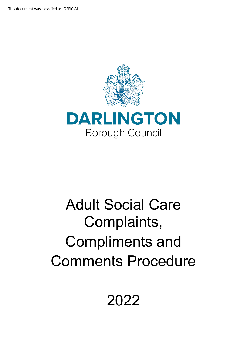

# Adult Social Care Complaints, Compliments and Comments Procedure

2022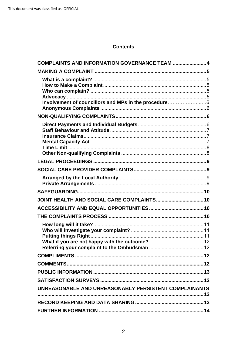# **Contents**

| COMPLAINTS AND INFORMATION GOVERNANCE TEAM  4         |
|-------------------------------------------------------|
|                                                       |
|                                                       |
|                                                       |
|                                                       |
| Involvement of councillors and MPs in the procedure6  |
|                                                       |
|                                                       |
|                                                       |
|                                                       |
|                                                       |
|                                                       |
|                                                       |
|                                                       |
|                                                       |
|                                                       |
|                                                       |
| JOINT HEALTH AND SOCIAL CARE COMPLAINTS 10            |
|                                                       |
|                                                       |
|                                                       |
|                                                       |
|                                                       |
|                                                       |
|                                                       |
|                                                       |
|                                                       |
|                                                       |
| UNREASONABLE AND UNREASONABLY PERSISTENT COMPLAINANTS |
|                                                       |
|                                                       |
|                                                       |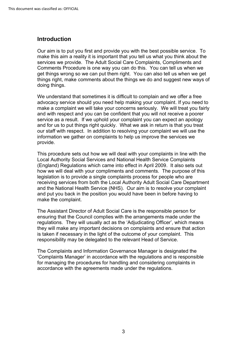# **Introduction**

Our aim is to put you first and provide you with the best possible service. To make this aim a reality it is important that you tell us what you think about the services we provide. The Adult Social Care Complaints, Compliments and Comments Procedure is one way you can do this. You can tell us when we get things wrong so we can put them right. You can also tell us when we get things right, make comments about the things we do and suggest new ways of doing things.

 service as a result. If we uphold your complaint you can expect an apology and for us to put things right quickly. What we ask in return is that you treat We understand that sometimes it is difficult to complain and we offer a free advocacy service should you need help making your complaint. If you need to make a complaint we will take your concerns seriously. We will treat you fairly and with respect and you can be confident that you will not receive a poorer our staff with respect. In addition to resolving your complaint we will use the information we gather on complaints to help us improve the services we provide.

 This procedure sets out how we will deal with your complaints in line with the Local Authority Social Services and National Health Service Complaints (England) Regulations which came into effect in April 2009. It also sets out how we will deal with your compliments and comments. The purpose of this legislation is to provide a single complaints process for people who are receiving services from both the Local Authority Adult Social Care Department and the National Health Service (NHS). Our aim is to resolve your complaint and put you back in the position you would have been in before having to make the complaint.

 ensuring that the Council complies with the arrangements made under the responsibility may be delegated to the relevant Head of Service. The Assistant Director of Adult Social Care is the responsible person for regulations. They will usually act as the 'Adjudicating Officer', which means they will make any important decisions on complaints and ensure that action is taken if necessary in the light of the outcome of your complaint. This

The Complaints and Information Governance Manager is designated the 'Complaints Manager' in accordance with the regulations and is responsible for managing the procedures for handling and considering complaints in accordance with the agreements made under the regulations.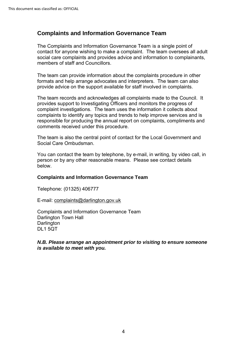# <span id="page-3-0"></span>**Complaints and Information Governance Team**

 members of staff and Councillors. The Complaints and Information Governance Team is a single point of contact for anyone wishing to make a complaint. The team oversees all adult social care complaints and provides advice and information to complainants,

 provide advice on the support available for staff involved in complaints. The team can provide information about the complaints procedure in other formats and help arrange advocates and interpreters. The team can also

The team records and acknowledges all complaints made to the Council. It provides support to Investigating Officers and monitors the progress of complaint investigations. The team uses the information it collects about complaints to identify any topics and trends to help improve services and is responsible for producing the annual report on complaints, compliments and comments received under this procedure.

The team is also the central point of contact for the Local Government and Social Care Ombudsman.

You can contact the team by telephone, by e-mail, in writing, by video call, in person or by any other reasonable means. Please see contact details below.

#### **Complaints and Information Governance Team**

Telephone: (01325) 406777

E-mail: complaints@darlington.gov.uk

 Complaints and Information Governance Team Darlington Town Hall **Darlington** DL1 5QT

#### *is available to meet with you. N.B. Please arrange an appointment prior to visiting to ensure someone*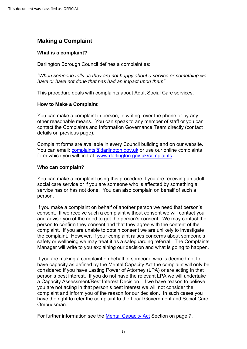# <span id="page-4-0"></span>**Making a Complaint**

## <span id="page-4-1"></span>**What is a complaint?**

Darlington Borough Council defines a complaint as:

*"When someone tells us they are not happy about a service or something we have or have not done that has had an impact upon them"*

This procedure deals with complaints about Adult Social Care services.

## <span id="page-4-2"></span>**How to Make a Complaint**

You can make a complaint in person, in writing, over the phone or by any other reasonable means. You can speak to any member of staff or you can contact the Complaints and Information Governance Team directly (contact details on previous page).

Complaint forms are available in every Council building and on our website. You can email: [complaints@darlington.gov.uk](mailto:complaints@darlington.gov.uk) or use our online complaints form which you will find at: [www.darlington.gov.uk/complaints](http://www.darlington.gov.uk/feedback) 

## <span id="page-4-3"></span>**Who can complain?**

You can make a complaint using this procedure if you are receiving an adult social care service or if you are someone who is affected by something a service has or has not done. You can also complain on behalf of such a person.

 the complaint. However, if your complaint raises concerns about someone's safety or wellbeing we may treat it as a safeguarding referral. The Complaints If you make a complaint on behalf of another person we need that person's consent. If we receive such a complaint without consent we will contact you and advise you of the need to get the person's consent. We may contact the person to confirm they consent and that they agree with the content of the complaint. If you are unable to obtain consent we are unlikely to investigate Manager will write to you explaining our decision and what is going to happen.

 person's best interest. If you do not have the relevant LPA we will undertake complaint and inform you of the reason for our decision. In such cases you If you are making a complaint on behalf of someone who is deemed not to have capacity as defined by the Mental Capacity Act the complaint will only be considered if you have Lasting Power of Attorney (LPA) or are acting in that a Capacity Assessment/Best Interest Decision. If we have reason to believe you are not acting in that person's best interest we will not consider the have the right to refer the complaint to the Local Government and Social Care Ombudsman.

<span id="page-4-4"></span>For further information see the <u>Mental Capacity Act</u> Section on page 7.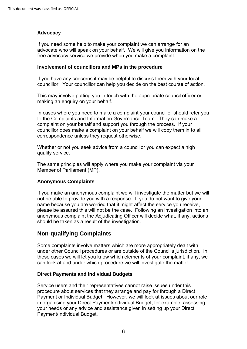## **Advocacy**

If you need some help to make your complaint we can arrange for an advocate who will speak on your behalf. We will give you information on the free advocacy service we provide when you make a complaint.

#### <span id="page-5-0"></span>**Involvement of councillors and MPs in the procedure**

If you have any concerns it may be helpful to discuss them with your local councillor. Your councillor can help you decide on the best course of action.

This may involve putting you in touch with the appropriate council officer or making an enquiry on your behalf.

 to the Complaints and Information Governance Team. They can make a In cases where you need to make a complaint your councillor should refer you complaint on your behalf and support you through the process. If your councillor does make a complaint on your behalf we will copy them in to all correspondence unless they request otherwise.

 Whether or not you seek advice from a councillor you can expect a high quality service.

The same principles will apply where you make your complaint via your Member of Parliament (MP).

## **Anonymous Complaints**

 If you make an anonymous complaint we will investigate the matter but we will not be able to provide you with a response. If you do not want to give your name because you are worried that it might affect the service you receive, please be assured this will not be the case. Following an investigation into an anonymous complaint the Adjudicating Officer will decide what, if any, actions should be taken as a result of the investigation.

# <span id="page-5-1"></span>**Non-qualifying Complaints**

Some complaints involve matters which are more appropriately dealt with under other Council procedures or are outside of the Council's jurisdiction. In these cases we will let you know which elements of your complaint, if any, we can look at and under which procedure we will investigate the matter.

## <span id="page-5-2"></span>**Direct Payments and Individual Budgets**

 procedure about services that they arrange and pay for through a Direct in organising your Direct Payment/Individual Budget, for example, assessing Service users and their representatives cannot raise issues under this Payment or Individual Budget. However, we will look at issues about our role your needs or any advice and assistance given in setting up your Direct Payment/Individual Budget.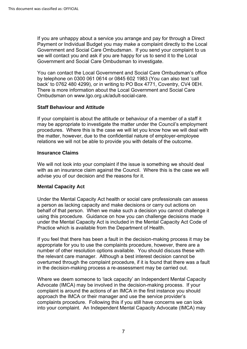Payment or Individual Budget you may make a complaint directly to the Local If you are unhappy about a service you arrange and pay for through a Direct Government and Social Care Ombudsman. If you send your complaint to us we will contact you and ask if you are happy for us to send it to the Local Government and Social Care Ombudsman to investigate.

 by telephone on 0300 061 0614 or 0845 602 1983 (You can also text 'call back' to 0762 480 4299), or in writing to PO Box 4771, Coventry, CV4 0EH. You can contact the Local Government and Social Care Ombudsman's office There is more information about the Local Government and Social Care Ombudsman on <www.lgo.org.uk/adult-social-care>.

## <span id="page-6-0"></span>**Staff Behaviour and Attitude**

 procedures. Where this is the case we will let you know how we will deal with If your complaint is about the attitude or behaviour of a member of a staff it may be appropriate to investigate the matter under the Council's employment the matter, however, due to the confidential nature of employer-employee relations we will not be able to provide you with details of the outcome.

## <span id="page-6-1"></span>**Insurance Claims**

We will not look into your complaint if the issue is something we should deal with as an insurance claim against the Council. Where this is the case we will advise you of our decision and the reasons for it.

## <span id="page-6-3"></span><span id="page-6-2"></span>**Mental Capacity Act**

 using this procedure. Guidance on how you can challenge decisions made Under the Mental Capacity Act health or social care professionals can assess a person as lacking capacity and make decisions or carry out actions on behalf of that person. When we make such a decision you cannot challenge it under the Mental Capacity Act is included in the Mental Capacity Act Code of Practice which is available from the Department of Health.

 number of other resolution options available. You should discuss these with the relevant care manager. Although a best interest decision cannot be If you feel that there has been a fault in the decision-making process it may be appropriate for you to use the complaints procedure, however, there are a overturned through the complaint procedure, if it is found that there was a fault in the decision-making process a re-assessment may be carried out.

Where we deem someone to 'lack capacity' an Independent Mental Capacity Advocate (IMCA) may be involved in the decision-making process. If your complaint is around the actions of an IMCA in the first instance you should approach the IMCA or their manager and use the service provider's complaints procedure. Following this if you still have concerns we can look into your complaint. An Independent Mental Capacity Advocate (IMCA) may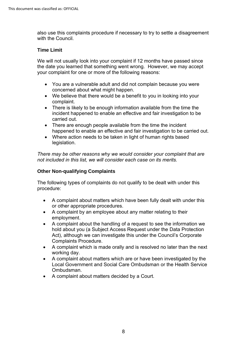also use this complaints procedure if necessary to try to settle a disagreement with the Council.

## <span id="page-7-0"></span>**Time Limit**

 the date you learned that something went wrong. However, we may accept We will not usually look into your complaint if 12 months have passed since your complaint for one or more of the following reasons:

- You are a vulnerable adult and did not complain because you were concerned about what might happen.
- • We believe that there would be a benefit to you in looking into your complaint.
- incident happened to enable an effective and fair investigation to be • There is likely to be enough information available from the time the carried out.
- There are enough people available from the time the incident happened to enable an effective and fair investigation to be carried out.
- Where action needs to be taken in light of human rights based legislation.

*There may be other reasons why we would consider your complaint that are not included in this list, we will consider each case on its merits.* 

## <span id="page-7-1"></span>**Other Non-qualifying Complaints**

 The following types of complaints do not qualify to be dealt with under this procedure:

- • A complaint about matters which have been fully dealt with under this or other appropriate procedures.
- A complaint by an employee about any matter relating to their employment.
- A complaint about the handling of a request to see the information we hold about you (a Subject Access Request under the Data Protection Act), although we can investigate this under the Council's Corporate Complaints Procedure.
- A complaint which is made orally and is resolved no later than the next working day.
- A complaint about matters which are or have been investigated by the Local Government and Social Care Ombudsman or the Health Service Ombudsman.
- A complaint about matters decided by a Court.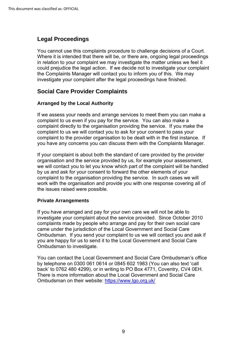# <span id="page-8-0"></span>**Legal Proceedings**

You cannot use this complaints procedure to challenge decisions of a Court. the Complaints Manager will contact you to inform you of this. We may Where it is intended that there will be, or there are, ongoing legal proceedings in relation to your complaint we may investigate the matter unless we feel it could prejudice the legal action. If we decide not to investigate your complaint investigate your complaint after the legal proceedings have finished.

# <span id="page-8-1"></span>**Social Care Provider Complaints**

## <span id="page-8-2"></span>**Arranged by the Local Authority**

 If we assess your needs and arrange services to meet them you can make a complaint to us even if you pay for the service. You can also make a complaint directly to the organisation providing the service. If you make the complaint to the provider organisation to be dealt with in the first instance. If complaint to us we will contact you to ask for your consent to pass your you have any concerns you can discuss them with the Complaints Manager.

 complaint to the organisation providing the service. In such cases we will If your complaint is about both the standard of care provided by the provider organisation and the service provided by us, for example your assessment, we will contact you to let you know which part of the complaint will be handled by us and ask for your consent to forward the other elements of your work with the organisation and provide you with one response covering all of the issues raised were possible.

## <span id="page-8-3"></span>**Private Arrangements**

 If you have arranged and pay for your own care we will not be able to Ombudsman. If you send your complaint to us we will contact you and ask if investigate your complaint about the service provided. Since October 2010 complaints made by people who arrange and pay for their own social care came under the jurisdiction of the Local Government and Social Care you are happy for us to send it to the Local Government and Social Care Ombudsman to investigate.

<span id="page-8-4"></span> by telephone on 0300 061 0614 or 0845 602 1983 (You can also text 'call back' to 0762 480 4299), or in writing to PO Box 4771, Coventry, CV4 0EH. You can contact the Local Government and Social Care Ombudsman's office There is more information about the Local Government and Social Care Ombudsman on their website:<https://www.lgo.org.uk/>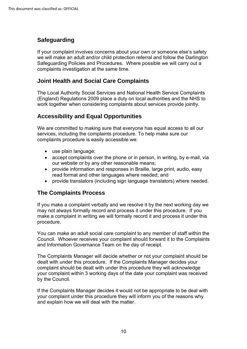# **Safeguarding**

 we will make an adult and/or child protection referral and follow the Darlington If your complaint involves concerns about your own or someone else's safety Safeguarding Policies and Procedures. Where possible we will carry out a complaints investigation at the same time.

# <span id="page-9-0"></span> **Joint Health and Social Care Complaints**

 (England) Regulations 2009 place a duty on local authorities and the NHS to The Local Authority Social Services and National Health Service Complaints work together when considering complaints about services provide jointly.

# <span id="page-9-1"></span> **Accessibility and Equal Opportunities**

We are committed to making sure that everyone has equal access to all our services, including the complaints procedure. To help make sure our complaints procedure is easily accessible we:

- use plain language;
- • accept complaints over the phone or in person, in writing, by e-mail, via our website or by any other reasonable means;
- • provide information and responses in Braille, large print, audio, easy read format and other languages where needed; and
- provide translators (including sign language translators) where needed.

# <span id="page-9-2"></span>**The Complaints Process**

 If you make a complaint verbally and we resolve it by the next working day we may not always formally record and process it under this procedure. If you make a complaint in writing we will formally record it and process it under this procedure.

 You can make an adult social care complaint to any member of staff within the and Information Governance Team on the day of receipt. Council. Whoever receives your complaint should forward it to the Complaints

The Complaints Manager will decide whether or not your complaint should be dealt with under this procedure. If the Complaints Manager decides your complaint should be dealt with under this procedure they will acknowledge your complaint within 3 working days of the date your complaint was received by the Council.

<span id="page-9-3"></span>If the Complaints Manager decides it would not be appropriate to be deal with your complaint under this procedure they will inform you of the reasons why and explain how we will deal with the matter.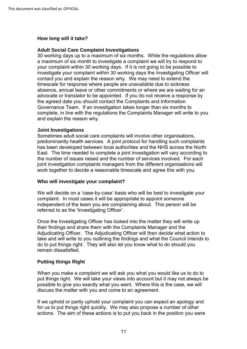#### **How long will it take?**

#### **Adult Social Care Complaint Investigations**

 30 working days up to a maximum of six months. While the regulations allow your complaint within 30 working days. If it is not going to be possible to advocate or translator to be appointed. If you do not receive a response by Governance Team. If an investigation takes longer than six months to a maximum of six month to investigate a complaint we will try to respond to investigate your complaint within 30 working days the Investigating Officer will contact you and explain the reason why. We may need to extend the timescale for response where people are unavailable due to sickness absence, annual leave or other commitments or where we are waiting for an the agreed date you should contact the Complaints and Information complete, in line with the regulations the Complaints Manager will write to you and explain the reason why.

#### **Joint Investigations**

 East. The time needed to complete a joint investigation will vary according to the number of issues raised and the number of services involved. For each Sometimes adult social care complaints will involve other organisations, predominantly health services. A joint protocol for handling such complaints has been developed between local authorities and the NHS across the North joint investigation complaints managers from the different organisations will work together to decide a reasonable timescale and agree this with you.

#### <span id="page-10-0"></span>**Who will investigate your complaint?**

We will decide on a 'case-by-case' basis who will be best to investigate your complaint. In most cases it will be appropriate to appoint someone independent of the team you are complaining about. This person will be referred to as the 'Investigating Officer'.

 Once the Investigating Officer has looked into the matter they will write up Adjudicating Officer. The Adjudicating Officer will then decide what action to their findings and share them with the Complaints Manager and the take and will write to you outlining the findings and what the Council intends to do to put things right. They will also let you know what to do should you remain dissatisfied.

## <span id="page-10-1"></span>**Putting things Right**

When you make a complaint we will ask you what you would like us to do to put things right. We will take your views into account but it may not always be possible to give you exactly what you want. Where this is the case, we will discuss the matter with you and come to an agreement.

If we uphold or partly uphold your complaint you can expect an apology and for us to put things right quickly. We may also propose a number of other actions. The aim of these actions is to put you back in the position you were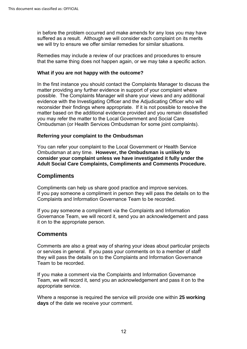in before the problem occurred and make amends for any loss you may have suffered as a result. Although we will consider each complaint on its merits we will try to ensure we offer similar remedies for similar situations.

Remedies may include a review of our practices and procedures to ensure that the same thing does not happen again, or we may take a specific action.

## <span id="page-11-0"></span>**What if you are not happy with the outcome?**

 In the first instance you should contact the Complaints Manager to discuss the matter providing any further evidence in support of your complaint where possible. The Complaints Manager will share your views and any additional evidence with the Investigating Officer and the Adjudicating Officer who will reconsider their findings where appropriate. If it is not possible to resolve the matter based on the additional evidence provided and you remain dissatisfied you may refer the matter to the Local Government and Social Care Ombudsman (or Health Services Ombudsman for some joint complaints).

## <span id="page-11-1"></span>**Referring your complaint to the Ombudsman**

You can refer your complaint to the Local Government or Health Service Ombudsman at any time. **However, the Ombudsman is unlikely to consider your complaint unless we have investigated it fully under the Adult Social Care Complaints, Compliments and Comments Procedure.** 

## <span id="page-11-2"></span>**Compliments**

 If you pay someone a compliment in person they will pass the details on to the Complaints and Information Governance Team to be recorded. Compliments can help us share good practice and improve services.

 If you pay someone a compliment via the Complaints and Information Governance Team, we will record it, send you an acknowledgement and pass it on to the appropriate person.

## <span id="page-11-3"></span>**Comments**

Comments are also a great way of sharing your ideas about particular projects or services in general. If you pass your comments on to a member of staff they will pass the details on to the Complaints and Information Governance Team to be recorded.

 Team, we will record it, send you an acknowledgement and pass it on to the If you make a comment via the Complaints and Information Governance appropriate service.

Where a response is required the service will provide one within **25 working days** of the date we receive your comment.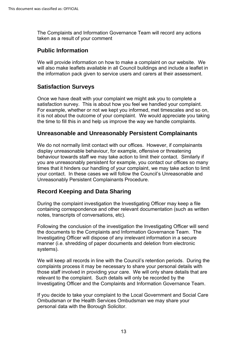The Complaints and Information Governance Team will record any actions taken as a result of your comment

# <span id="page-12-0"></span>**Public Information**

 We will provide information on how to make a complaint on our website. We will also make leaflets available in all Council buildings and include a leaflet in the information pack given to service users and carers at their assessment.

# <span id="page-12-1"></span>**Satisfaction Surveys**

 Once we have dealt with your complaint we might ask you to complete a it is not about the outcome of your complaint. We would appreciate you taking satisfaction survey. This is about how you feel we handled your complaint. For example, whether or not we kept you informed, met timescales and so on, the time to fill this in and help us improve the way we handle complaints.

# <span id="page-12-2"></span> **Unreasonable and Unreasonably Persistent Complainants**

 We do not normally limit contact with our offices. However, if complainants your contact. In these cases we will follow the Council's Unreasonable and display unreasonable behaviour, for example, offensive or threatening behaviour towards staff we may take action to limit their contact. Similarly if you are unreasonably persistent for example, you contact our offices so many times that it hinders our handling of your complaint, we may take action to limit Unreasonably Persistent Complainants Procedure.

# <span id="page-12-3"></span> **Record Keeping and Data Sharing**

During the complaint investigation the Investigating Officer may keep a file containing correspondence and other relevant documentation (such as written notes, transcripts of conversations, etc).

 the documents to the Complaints and Information Governance Team. The Following the conclusion of the investigation the Investigating Officer will send Investigating Officer will dispose of any irrelevant information in a secure manner (i.e. shredding of paper documents and deletion from electronic systems).

 relevant to the complaint. Such details will only be recorded by the We will keep all records in line with the Council's retention periods. During the complaints process it may be necessary to share your personal details with those staff involved in providing your care. We will only share details that are Investigating Officer and the Complaints and Information Governance Team.

If you decide to take your complaint to the Local Government and Social Care Ombudsman or the Health Services Ombudsman we may share your personal data with the Borough Solicitor.